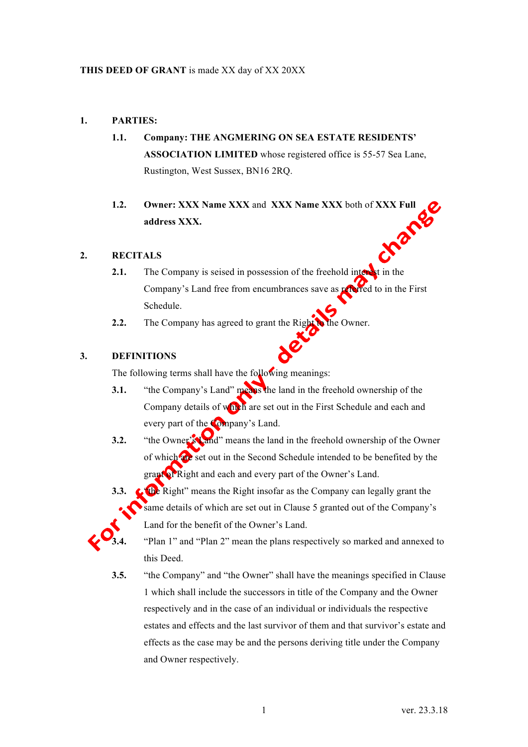### **1. PARTIES:**

- **1.1. Company: THE ANGMERING ON SEA ESTATE RESIDENTS' ASSOCIATION LIMITED** whose registered office is 55-57 Sea Lane, Rustington, West Sussex, BN16 2RQ.
- **1.2.** Owner: XXX Name XXX and XXX Name XXX both of XXX Full address XXX.<br> **RECITALS address XXX.**

### **2. RECITALS**

- **2.1.** The Company is seised in possession of the freehold interest in the Company's Land free from encumbrances save as referred to in the First Schedule.
- **2.2.** The Company has agreed to grant the Right to the Owner.

### **3. DEFINITIONS**

The following terms shall have the following meanings:

- **3.1.** "the Company's Land" means the land in the freehold ownership of the Company details of which are set out in the First Schedule and each and every part of the Company's Land.
- **3.2.** "the Owner's Land" means the land in the freehold ownership of the Owner of which are set out in the Second Schedule intended to be benefited by the grant of Right and each and every part of the Owner's Land.
- **3.3.** The Right" means the Right insofar as the Company can legally grant the same details of which are set out in Clause 5 granted out of the Company's Land for the benefit of the Owner's Land.



**3.4.** "Plan 1" and "Plan 2" mean the plans respectively so marked and annexed to this Deed.

**3.5.** "the Company" and "the Owner" shall have the meanings specified in Clause 1 which shall include the successors in title of the Company and the Owner respectively and in the case of an individual or individuals the respective estates and effects and the last survivor of them and that survivor's estate and effects as the case may be and the persons deriving title under the Company and Owner respectively.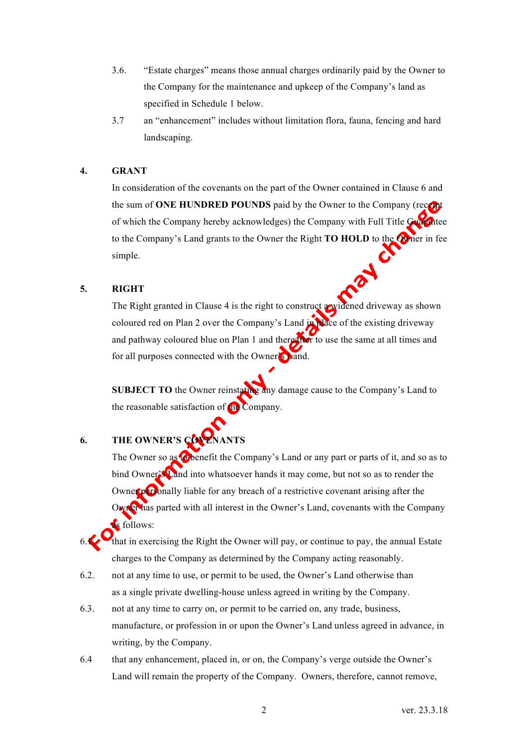- 3.6. "Estate charges" means those annual charges ordinarily paid by the Owner to the Company for the maintenance and upkeep of the Company's land as specified in Schedule 1 below.
- 3.7 an "enhancement" includes without limitation flora, fauna, fencing and hard landscaping.

### **4. GRANT**

In consideration of the covenants on the part of the Owner contained in Clause 6 and the sum of **ONE HUNDRED POUNDS** paid by the Owner to the Company (recent of which the Company hereby acknowledges) the Company with Full Title Guarantee to the Company's Land grants to the Owner the Right **TO HOLD** to the Owner in fee simple.

### **5. RIGHT**

The Right granted in Clause 4 is the right to construct a widened driveway as shown coloured red on Plan 2 over the Company's Land in place of the existing driveway and pathway coloured blue on Plan 1 and thereafter to use the same at all times and for all purposes connected with the Owner's Land.

**SUBJECT TO** the Owner reinstating any damage cause to the Company's Land to the reasonable satisfaction of the Company.

### **6. THE OWNER'S COV**

The Owner so as to benefit the Company's Land or any part or parts of it, and so as to bind Owner's Land into whatsoever hands it may come, but not so as to render the Owner personally liable for any breach of a restrictive covenant arising after the Owner has parted with all interest in the Owner's Land, covenants with the Company as follows:

that in exercising the Right the Owner will pay, or continue to pay, the annual Estate charges to the Company as determined by the Company acting reasonably.

- 6.2. not at any time to use, or permit to be used, the Owner's Land otherwise than as a single private dwelling-house unless agreed in writing by the Company.
- 6.3. not at any time to carry on, or permit to be carried on, any trade, business, manufacture, or profession in or upon the Owner's Land unless agreed in advance, in writing, by the Company.
- 6.4 that any enhancement, placed in, or on, the Company's verge outside the Owner's Land will remain the property of the Company. Owners, therefore, cannot remove,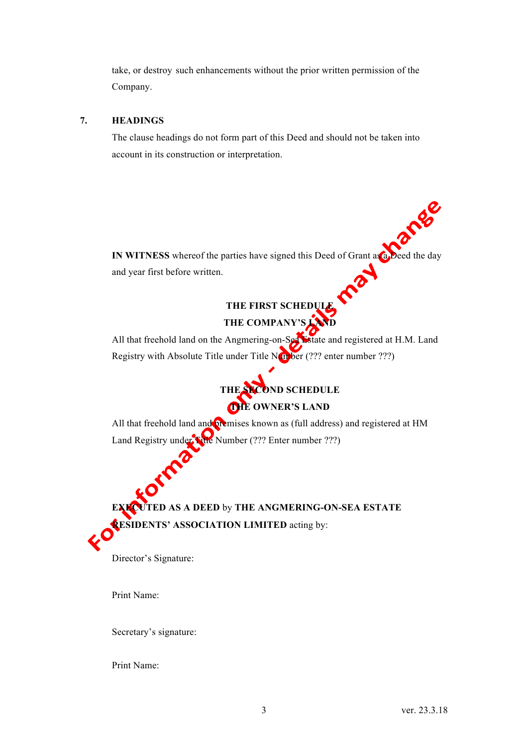take, or destroy such enhancements without the prior written permission of the Company.

### **7. HEADINGS**

The clause headings do not form part of this Deed and should not be taken into account in its construction or interpretation.

IN WITNESS whereof the parties have signed this Deed of Grant as a Deed the day and year first before written. and year first before written.

# **THE FIRST SCHEDULE**

## THE COMPANY'S

All that freehold land on the Angmering-on-Sea Estate and registered at H.M. Land Registry with Absolute Title under Title Number (??? enter number ???)



All that freehold land and premises known as (full address) and registered at HM Land Registry under Title Number (??? Enter number ???)

**TED AS A DEED by THE ANGMERING-ON-SEA ESTATE RESIDENTS' ASSOCIATION LIMITED** acting by:

Director's Signature:

Print Name:

Secretary's signature:

Print Name: